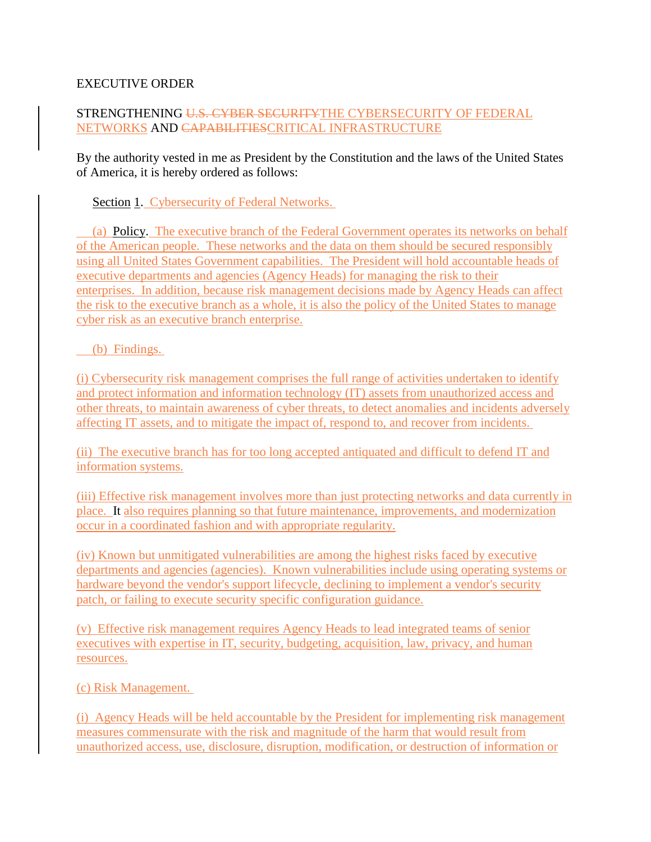## EXECUTIVE ORDER

## STRENGTHENING U.S. CYBER SECURITYTHE CYBERSECURITY OF FEDERAL NETWORKS AND CAPABILITIESCRITICAL INFRASTRUCTURE

By the authority vested in me as President by the Constitution and the laws of the United States of America, it is hereby ordered as follows:

## Section 1. Cybersecurity of Federal Networks.

 (a) Policy. The executive branch of the Federal Government operates its networks on behalf of the American people. These networks and the data on them should be secured responsibly using all United States Government capabilities. The President will hold accountable heads of executive departments and agencies (Agency Heads) for managing the risk to their enterprises. In addition, because risk management decisions made by Agency Heads can affect the risk to the executive branch as a whole, it is also the policy of the United States to manage cyber risk as an executive branch enterprise.

(b) Findings.

(i) Cybersecurity risk management comprises the full range of activities undertaken to identify and protect information and information technology (IT) assets from unauthorized access and other threats, to maintain awareness of cyber threats, to detect anomalies and incidents adversely affecting IT assets, and to mitigate the impact of, respond to, and recover from incidents.

(ii) The executive branch has for too long accepted antiquated and difficult to defend IT and information systems.

(iii) Effective risk management involves more than just protecting networks and data currently in place. It also requires planning so that future maintenance, improvements, and modernization occur in a coordinated fashion and with appropriate regularity.

(iv) Known but unmitigated vulnerabilities are among the highest risks faced by executive departments and agencies (agencies). Known vulnerabilities include using operating systems or hardware beyond the vendor's support lifecycle, declining to implement a vendor's security patch, or failing to execute security specific configuration guidance.

(v) Effective risk management requires Agency Heads to lead integrated teams of senior executives with expertise in IT, security, budgeting, acquisition, law, privacy, and human resources.

(c) Risk Management.

(i) Agency Heads will be held accountable by the President for implementing risk management measures commensurate with the risk and magnitude of the harm that would result from unauthorized access, use, disclosure, disruption, modification, or destruction of information or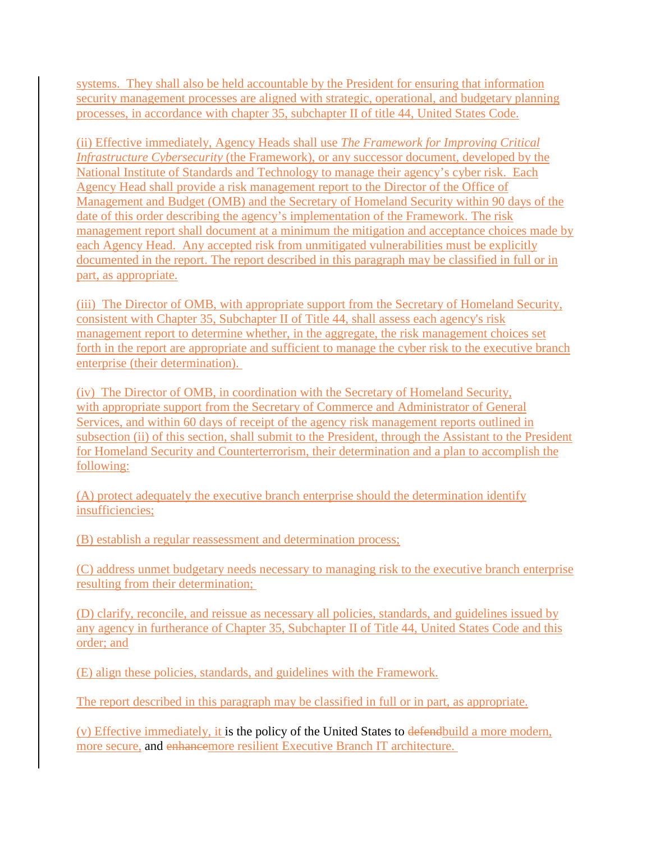systems. They shall also be held accountable by the President for ensuring that information security management processes are aligned with strategic, operational, and budgetary planning processes, in accordance with chapter 35, subchapter II of title 44, United States Code.

(ii) Effective immediately, Agency Heads shall use *The Framework for Improving Critical Infrastructure Cybersecurity* (the Framework), or any successor document, developed by the National Institute of Standards and Technology to manage their agency's cyber risk. Each Agency Head shall provide a risk management report to the Director of the Office of Management and Budget (OMB) and the Secretary of Homeland Security within 90 days of the date of this order describing the agency's implementation of the Framework. The risk management report shall document at a minimum the mitigation and acceptance choices made by each Agency Head. Any accepted risk from unmitigated vulnerabilities must be explicitly documented in the report. The report described in this paragraph may be classified in full or in part, as appropriate.

(iii) The Director of OMB, with appropriate support from the Secretary of Homeland Security, consistent with Chapter 35, Subchapter II of Title 44, shall assess each agency's risk management report to determine whether, in the aggregate, the risk management choices set forth in the report are appropriate and sufficient to manage the cyber risk to the executive branch enterprise (their determination).

(iv) The Director of OMB, in coordination with the Secretary of Homeland Security, with appropriate support from the Secretary of Commerce and Administrator of General Services, and within 60 days of receipt of the agency risk management reports outlined in subsection (ii) of this section, shall submit to the President, through the Assistant to the President for Homeland Security and Counterterrorism, their determination and a plan to accomplish the following:

(A) protect adequately the executive branch enterprise should the determination identify insufficiencies;

(B) establish a regular reassessment and determination process;

(C) address unmet budgetary needs necessary to managing risk to the executive branch enterprise resulting from their determination;

(D) clarify, reconcile, and reissue as necessary all policies, standards, and guidelines issued by any agency in furtherance of Chapter 35, Subchapter II of Title 44, United States Code and this order; and

(E) align these policies, standards, and guidelines with the Framework.

The report described in this paragraph may be classified in full or in part, as appropriate.

(v) Effective immediately, it is the policy of the United States to defendbuild a more modern, more secure, and enhancemore resilient Executive Branch IT architecture.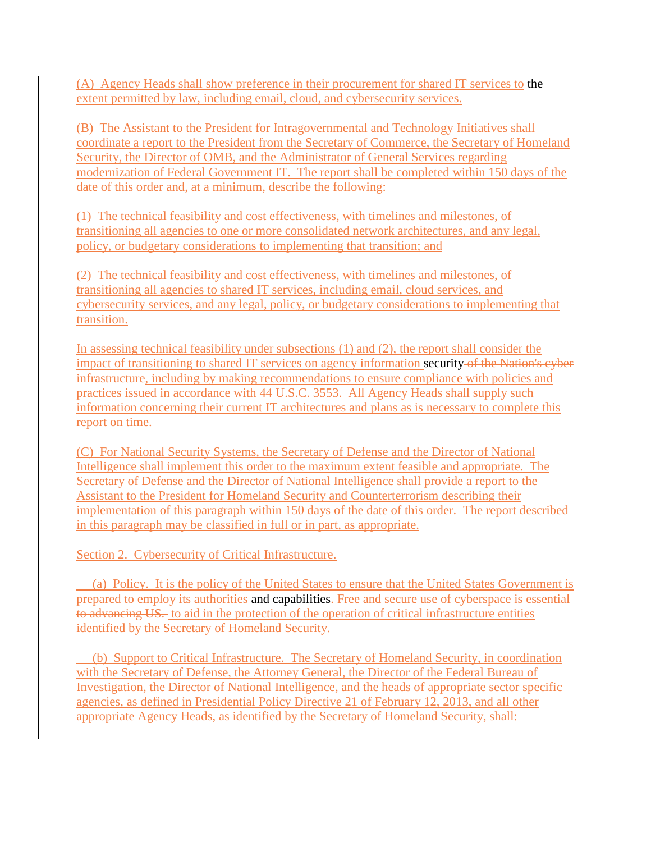(A) Agency Heads shall show preference in their procurement for shared IT services to the extent permitted by law, including email, cloud, and cybersecurity services.

(B) The Assistant to the President for Intragovernmental and Technology Initiatives shall coordinate a report to the President from the Secretary of Commerce, the Secretary of Homeland Security, the Director of OMB, and the Administrator of General Services regarding modernization of Federal Government IT. The report shall be completed within 150 days of the date of this order and, at a minimum, describe the following:

(1) The technical feasibility and cost effectiveness, with timelines and milestones, of transitioning all agencies to one or more consolidated network architectures, and any legal, policy, or budgetary considerations to implementing that transition; and

(2) The technical feasibility and cost effectiveness, with timelines and milestones, of transitioning all agencies to shared IT services, including email, cloud services, and cybersecurity services, and any legal, policy, or budgetary considerations to implementing that transition.

In assessing technical feasibility under subsections (1) and (2), the report shall consider the impact of transitioning to shared IT services on agency information security of the Nation's cyber infrastructure, including by making recommendations to ensure compliance with policies and practices issued in accordance with 44 U.S.C. 3553. All Agency Heads shall supply such information concerning their current IT architectures and plans as is necessary to complete this report on time.

(C) For National Security Systems, the Secretary of Defense and the Director of National Intelligence shall implement this order to the maximum extent feasible and appropriate. The Secretary of Defense and the Director of National Intelligence shall provide a report to the Assistant to the President for Homeland Security and Counterterrorism describing their implementation of this paragraph within 150 days of the date of this order. The report described in this paragraph may be classified in full or in part, as appropriate.

Section 2. Cybersecurity of Critical Infrastructure.

 (a) Policy. It is the policy of the United States to ensure that the United States Government is prepared to employ its authorities and capabilities. Free and secure use of cyberspace is essential to advancing US. to aid in the protection of the operation of critical infrastructure entities identified by the Secretary of Homeland Security.

 (b) Support to Critical Infrastructure. The Secretary of Homeland Security, in coordination with the Secretary of Defense, the Attorney General, the Director of the Federal Bureau of Investigation, the Director of National Intelligence, and the heads of appropriate sector specific agencies, as defined in Presidential Policy Directive 21 of February 12, 2013, and all other appropriate Agency Heads, as identified by the Secretary of Homeland Security, shall: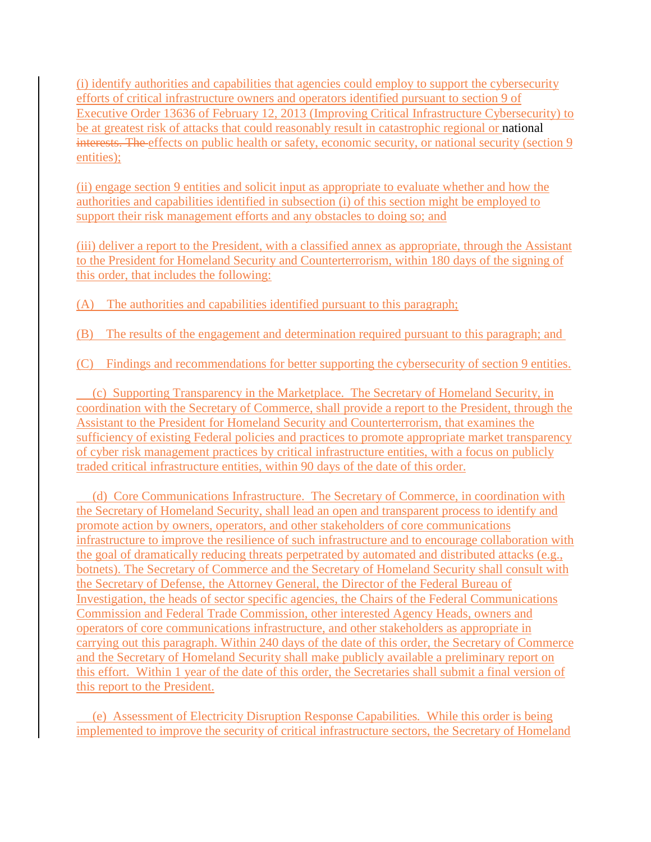(i) identify authorities and capabilities that agencies could employ to support the cybersecurity efforts of critical infrastructure owners and operators identified pursuant to section 9 of Executive Order 13636 of February 12, 2013 (Improving Critical Infrastructure Cybersecurity) to be at greatest risk of attacks that could reasonably result in catastrophic regional or national interests. The effects on public health or safety, economic security, or national security (section 9 entities);

(ii) engage section 9 entities and solicit input as appropriate to evaluate whether and how the authorities and capabilities identified in subsection (i) of this section might be employed to support their risk management efforts and any obstacles to doing so; and

(iii) deliver a report to the President, with a classified annex as appropriate, through the Assistant to the President for Homeland Security and Counterterrorism, within 180 days of the signing of this order, that includes the following:

(A) The authorities and capabilities identified pursuant to this paragraph;

(B) The results of the engagement and determination required pursuant to this paragraph; and

(C) Findings and recommendations for better supporting the cybersecurity of section 9 entities.

 (c) Supporting Transparency in the Marketplace. The Secretary of Homeland Security, in coordination with the Secretary of Commerce, shall provide a report to the President, through the Assistant to the President for Homeland Security and Counterterrorism, that examines the sufficiency of existing Federal policies and practices to promote appropriate market transparency of cyber risk management practices by critical infrastructure entities, with a focus on publicly traded critical infrastructure entities, within 90 days of the date of this order.

 (d) Core Communications Infrastructure. The Secretary of Commerce, in coordination with the Secretary of Homeland Security, shall lead an open and transparent process to identify and promote action by owners, operators, and other stakeholders of core communications infrastructure to improve the resilience of such infrastructure and to encourage collaboration with the goal of dramatically reducing threats perpetrated by automated and distributed attacks (e.g., botnets). The Secretary of Commerce and the Secretary of Homeland Security shall consult with the Secretary of Defense, the Attorney General, the Director of the Federal Bureau of Investigation, the heads of sector specific agencies, the Chairs of the Federal Communications Commission and Federal Trade Commission, other interested Agency Heads, owners and operators of core communications infrastructure, and other stakeholders as appropriate in carrying out this paragraph. Within 240 days of the date of this order, the Secretary of Commerce and the Secretary of Homeland Security shall make publicly available a preliminary report on this effort. Within 1 year of the date of this order, the Secretaries shall submit a final version of this report to the President.

 (e) Assessment of Electricity Disruption Response Capabilities*.* While this order is being implemented to improve the security of critical infrastructure sectors, the Secretary of Homeland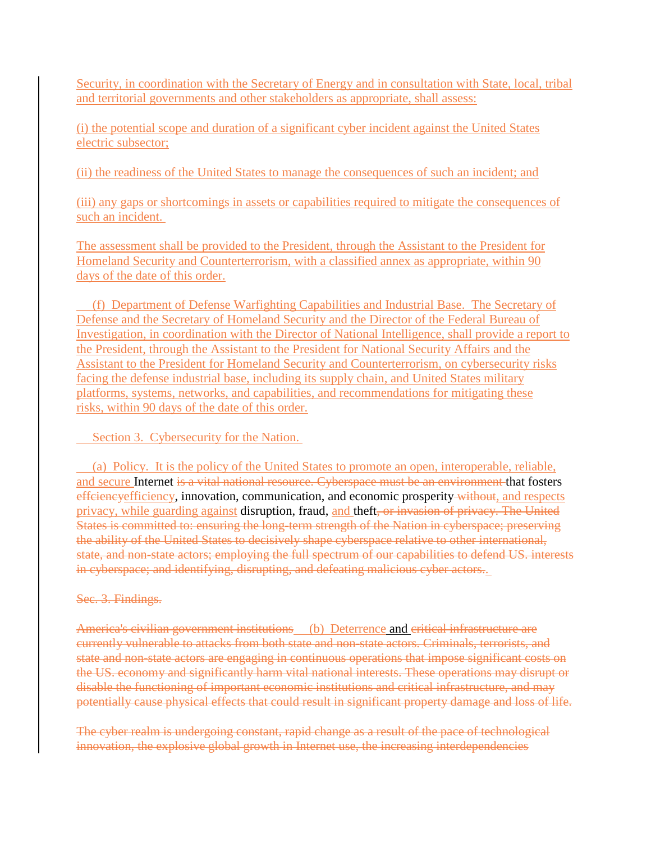Security, in coordination with the Secretary of Energy and in consultation with State, local, tribal and territorial governments and other stakeholders as appropriate, shall assess:

(i) the potential scope and duration of a significant cyber incident against the United States electric subsector;

(ii) the readiness of the United States to manage the consequences of such an incident; and

(iii) any gaps or shortcomings in assets or capabilities required to mitigate the consequences of such an incident.

The assessment shall be provided to the President, through the Assistant to the President for Homeland Security and Counterterrorism, with a classified annex as appropriate, within 90 days of the date of this order.

 (f) Department of Defense Warfighting Capabilities and Industrial Base. The Secretary of Defense and the Secretary of Homeland Security and the Director of the Federal Bureau of Investigation, in coordination with the Director of National Intelligence, shall provide a report to the President, through the Assistant to the President for National Security Affairs and the Assistant to the President for Homeland Security and Counterterrorism, on cybersecurity risks facing the defense industrial base, including its supply chain, and United States military platforms, systems, networks, and capabilities, and recommendations for mitigating these risks, within 90 days of the date of this order.

Section 3. Cybersecurity for the Nation.

 (a) Policy. It is the policy of the United States to promote an open, interoperable, reliable, and secure Internet is a vital national resource. Cyberspace must be an environment that fosters effciency efficiency, innovation, communication, and economic prosperity without, and respects privacy, while guarding against disruption, fraud, and theft<del>, or invasion of privacy. The United</del> States is committed to: ensuring the long-term strength of the Nation in cyberspace; preserving the ability of the United States to decisively shape cyberspace relative to other international, state, and non-state actors; employing the full spectrum of our capabilities to defend US. interests in cyberspace; and identifying, disrupting, and defeating malicious cyber actors..

## Sec. 3. Findings.

America's civilian government institutions (b) Deterrence and critical infrastructure are currently vulnerable to attacks from both state and non-state actors. Criminals, terrorists, and state and non-state actors are engaging in continuous operations that impose significant costs on the US. economy and significantly harm vital national interests. These operations may disrupt or disable the functioning of important economic institutions and critical infrastructure, and may potentially cause physical effects that could result in significant property damage and loss of life.

The cyber realm is undergoing constant, rapid change as a result of the pace of technological innovation, the explosive global growth in Internet use, the increasing interdependencies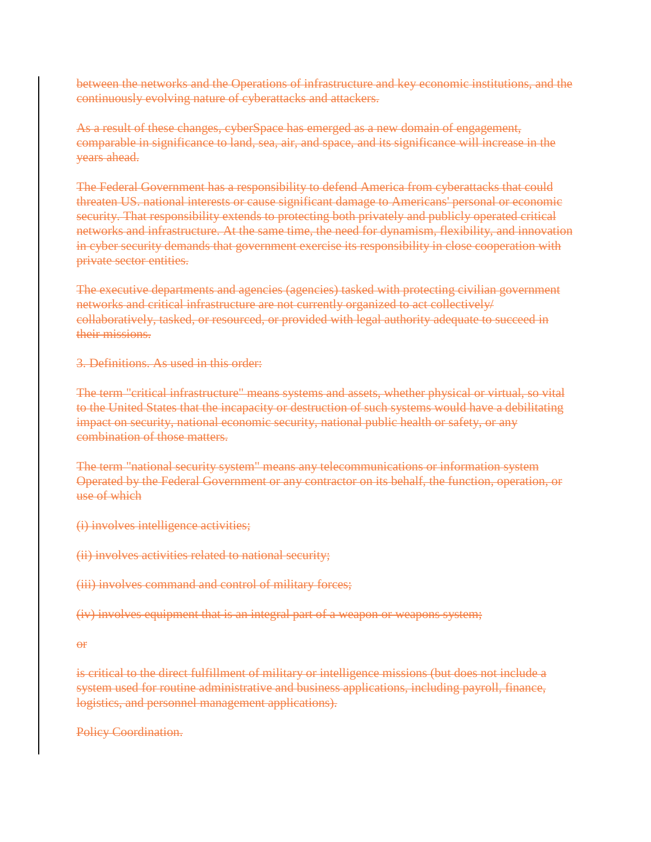between the networks and the Operations of infrastructure and key economic institutions, and the continuously evolving nature of cyberattacks and attackers.

As a result of these changes, cyberSpace has emerged as a new domain of engagement, comparable in significance to land, sea, air, and space, and its significance will increase in the years ahead.

The Federal Government has a responsibility to defend America from cyberattacks that could threaten US. national interests or cause significant damage to Americans' personal or economic security. That responsibility extends to protecting both privately and publicly operated critical networks and infrastructure. At the same time, the need for dynamism, flexibility, and innovation in cyber security demands that government exercise its responsibility in close cooperation with private sector entities.

The executive departments and agencies (agencies) tasked with protecting civilian government networks and critical infrastructure are not currently organized to act collectively/ collaboratively, tasked, or resourced, or provided with legal authority adequate to succeed in their missions.

3. Definitions. As used in this order:

The term "critical infrastructure" means systems and assets, whether physical or virtual, so vital to the United States that the incapacity or destruction of such systems would have a debilitating impact on security, national economic security, national public health or safety, or any combination of those matters.

The term "national security system" means any telecommunications or information system Operated by the Federal Government or any contractor on its behalf, the function, operation, or use of which

(i) involves intelligence activities;

(ii) involves activities related to national security;

(iii) involves command and control of military forces;

(iv) involves equipment that is an integral part of a weapon or weapons system;

 $\Theta$ **F** 

is critical to the direct fulfillment of military or intelligence missions (but does not include a system used for routine administrative and business applications, including payroll, finance, logistics, and personnel management applications).

Policy Coordination.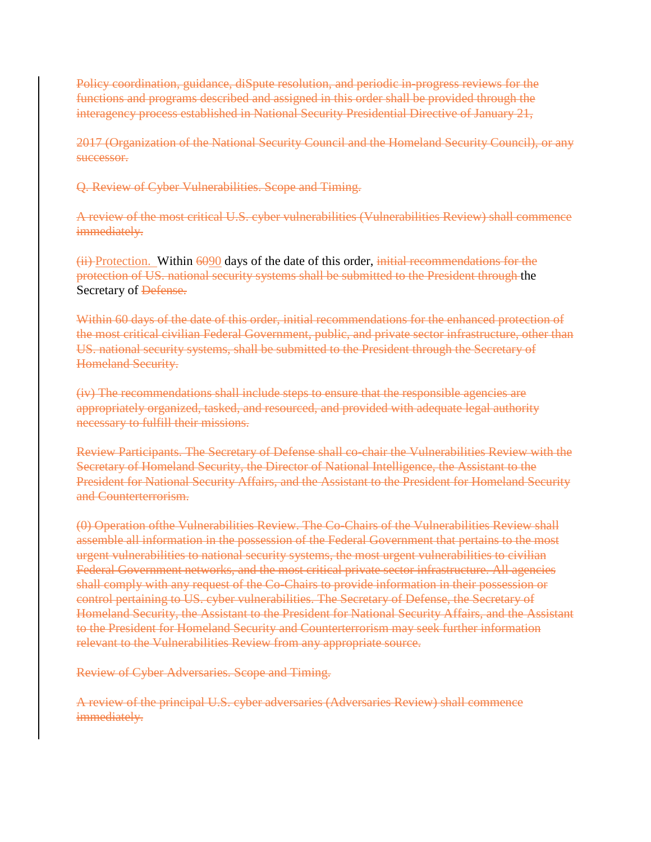Policy coordination, guidance, diSpute resolution, and periodic in-progress reviews for the functions and programs described and assigned in this order shall be provided through the interagency process established in National Security Presidential Directive of January 21,

2017 (Organization of the National Security Council and the Homeland Security Council), or any successor.

Q. Review of Cyber Vulnerabilities. Scope and Timing.

A review of the most critical U.S. cyber vulnerabilities (Vulnerabilities Review) shall commence immediately.

(ii) Protection. Within 6090 days of the date of this order, initial recommendations for the protection of US. national security systems shall be submitted to the President through the Secretary of <del>Defense.</del>

Within 60 days of the date of this order, initial recommendations for the enhanced protection of the most critical civilian Federal Government, public, and private sector infrastructure, other than US. national security systems, shall be submitted to the President through the Secretary of Homeland Security.

(iv) The recommendations shall include steps to ensure that the responsible agencies are appropriately organized, tasked, and resourced, and provided with adequate legal authority necessary to fulfill their missions.

Review Participants. The Secretary of Defense shall co-chair the Vulnerabilities Review with the Secretary of Homeland Security, the Director of National Intelligence, the Assistant to the President for National Security Affairs, and the Assistant to the President for Homeland Security and Counterterrorism.

(0) Operation ofthe Vulnerabilities Review. The Co-Chairs of the Vulnerabilities Review shall assemble all information in the possession of the Federal Government that pertains to the most urgent vulnerabilities to national security systems, the most urgent vulnerabilities to civilian Federal Government networks, and the most critical private sector infrastructure. All agencies shall comply with any request of the Co-Chairs to provide information in their possession or control pertaining to US. cyber vulnerabilities. The Secretary of Defense, the Secretary of Homeland Security, the Assistant to the President for National Security Affairs, and the Assistant to the President for Homeland Security and Counterterrorism may seek further information relevant to the Vulnerabilities Review from any appropriate source.

Review of Cyber Adversaries. Scope and Timing.

A review of the principal U.S. cyber adversaries (Adversaries Review) shall commence immediately.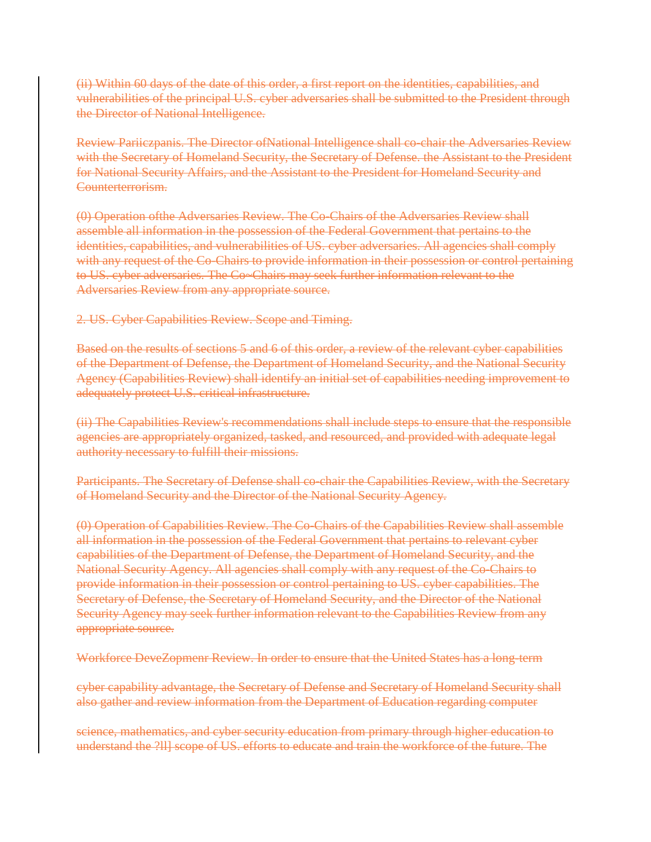(ii) Within 60 days of the date of this order, a first report on the identities, capabilities, and vulnerabilities of the principal U.S. cyber adversaries shall be submitted to the President through the Director of National Intelligence.

Review Pariiczpanis. The Director ofNational Intelligence shall co-chair the Adversaries Review with the Secretary of Homeland Security, the Secretary of Defense. the Assistant to the President for National Security Affairs, and the Assistant to the President for Homeland Security and Counterterrorism.

(0) Operation ofthe Adversaries Review. The Co-Chairs of the Adversaries Review shall assemble all information in the possession of the Federal Government that pertains to the identities, capabilities, and vulnerabilities of US. cyber adversaries. All agencies shall comply with any request of the Co-Chairs to provide information in their possession or control pertaining to US. cyber adversaries. The Co~Chairs may seek further information relevant to the Adversaries Review from any appropriate source.

2. US. Cyber Capabilities Review. Scope and Timing.

Based on the results of sections 5 and 6 of this order, a review of the relevant cyber capabilities of the Department of Defense, the Department of Homeland Security, and the National Security Agency (Capabilities Review) shall identify an initial set of capabilities needing improvement to adequately protect U.S. critical infrastructure.

(ii) The Capabilities Review's recommendations shall include steps to ensure that the responsible agencies are appropriately organized, tasked, and resourced, and provided with adequate legal authority necessary to fulfill their missions.

Participants. The Secretary of Defense shall co-chair the Capabilities Review, with the Secretary of Homeland Security and the Director of the National Security Agency.

(0) Operation of Capabilities Review. The Co-Chairs of the Capabilities Review shall assemble all information in the possession of the Federal Government that pertains to relevant cyber capabilities of the Department of Defense, the Department of Homeland Security, and the National Security Agency. All agencies shall comply with any request of the Co-Chairs to provide information in their possession or control pertaining to US. cyber capabilities. The Secretary of Defense, the Secretary of Homeland Security, and the Director of the National Security Agency may seek further information relevant to the Capabilities Review from any appropriate source.

Workforce DeveZopmenr Review. In order to ensure that the United States has a long-term

cyber capability advantage, the Secretary of Defense and Secretary of Homeland Security shall also gather and review information from the Department of Education regarding computer

science, mathematics, and cyber security education from primary through higher education to understand the ?ll] scope of US. efforts to educate and train the workforce of the future. The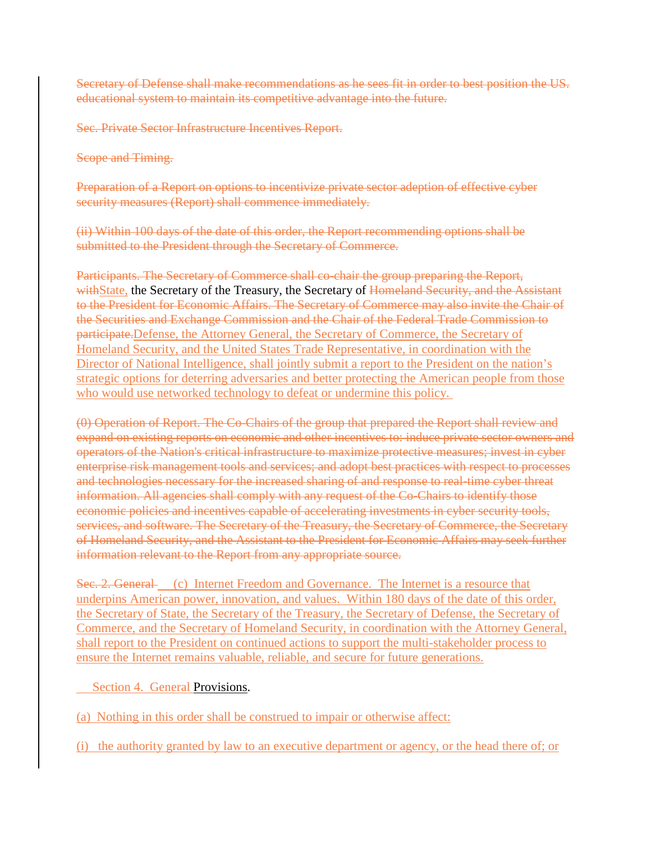Secretary of Defense shall make recommendations as he sees fit in order to best position the US. educational system to maintain its competitive advantage into the future.

Sec. Private Sector Infrastructure Incentives Report.

Scope and Timing.

Preparation of a Report on options to incentivize private sector adeption of effective cyber security measures (Report) shall commence immediately.

(ii) Within 100 days of the date of this order, the Report recommending options shall be submitted to the President through the Secretary of Commerce.

Participants. The Secretary of Commerce shall co-chair the group preparing the Report, with State, the Secretary of the Treasury, the Secretary of Homeland Security, and the Assistant to the President for Economic Affairs. The Secretary of Commerce may also invite the Chair of the Securities and Exchange Commission and the Chair of the Federal Trade Commission to participate.Defense, the Attorney General, the Secretary of Commerce, the Secretary of Homeland Security, and the United States Trade Representative, in coordination with the Director of National Intelligence, shall jointly submit a report to the President on the nation's strategic options for deterring adversaries and better protecting the American people from those who would use networked technology to defeat or undermine this policy.

(0) Operation of Report. The Co-Chairs of the group that prepared the Report shall review and expand on existing reports on economic and other incentives to: induce private sector owners and operators of the Nation's critical infrastructure to maximize protective measures; invest in cyber enterprise risk management tools and services; and adopt best practices with respect to processes and technologies necessary for the increased sharing of and response to real-time cyber threat information. All agencies shall comply with any request of the Co-Chairs to identify those economic policies and incentives capable of accelerating investments in cyber security tools, services, and software. The Secretary of the Treasury, the Secretary of Commerce, the Secretary of Homeland Security, and the Assistant to the President for Economic Affairs may seek further information relevant to the Report from any appropriate source.

Sec. 2. General (c) Internet Freedom and Governance. The Internet is a resource that underpins American power, innovation, and values. Within 180 days of the date of this order, the Secretary of State, the Secretary of the Treasury, the Secretary of Defense, the Secretary of Commerce, and the Secretary of Homeland Security, in coordination with the Attorney General, shall report to the President on continued actions to support the multi-stakeholder process to ensure the Internet remains valuable, reliable, and secure for future generations.

Section 4. General Provisions.

(a) Nothing in this order shall be construed to impair or otherwise affect:

(i) the authority granted by law to an executive department or agency, or the head there of; or